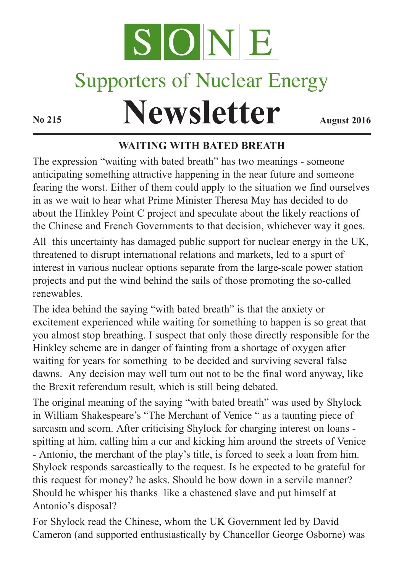

## Supporters of Nuclear Energy

# **Newsletter August** 2016

#### **WAITING WITH BATED BREATH**

The expression "waiting with bated breath" has two meanings - someone anticipating something attractive happening in the near future and someone fearing the worst. Either of them could apply to the situation we find ourselves in as we wait to hear what Prime Minister Theresa May has decided to do about the Hinkley Point C project and speculate about the likely reactions of the Chinese and French Governments to that decision, whichever way it goes.

All this uncertainty has damaged public support for nuclear energy in the UK, threatened to disrupt international relations and markets, led to a spurt of interest in various nuclear options separate from the large-scale power station projects and put the wind behind the sails of those promoting the so-called renewables.

The idea behind the saying "with bated breath" is that the anxiety or excitement experienced while waiting for something to happen is so great that you almost stop breathing. I suspect that only those directly responsible for the Hinkley scheme are in danger of fainting from a shortage of oxygen after waiting for years for something to be decided and surviving several false dawns. Any decision may well turn out not to be the final word anyway, like the Brexit referendum result, which is still being debated.

The original meaning of the saying "with bated breath" was used by Shylock in William Shakespeare's "The Merchant of Venice " as a taunting piece of sarcasm and scorn. After criticising Shylock for charging interest on loans spitting at him, calling him a cur and kicking him around the streets of Venice - Antonio, the merchant of the play's title, is forced to seek a loan from him. Shylock responds sarcastically to the request. Is he expected to be grateful for this request for money? he asks. Should he bow down in a servile manner? Should he whisper his thanks like a chastened slave and put himself at Antonio's disposal?

For Shylock read the Chinese, whom the UK Government led by David Cameron (and supported enthusiastically by Chancellor George Osborne) was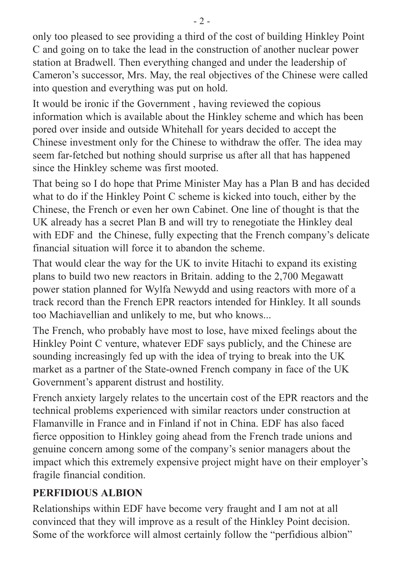only too pleased to see providing a third of the cost of building Hinkley Point C and going on to take the lead in the construction of another nuclear power station at Bradwell. Then everything changed and under the leadership of Cameron's successor, Mrs. May, the real objectives of the Chinese were called into question and everything was put on hold.

It would be ironic if the Government , having reviewed the copious information which is available about the Hinkley scheme and which has been pored over inside and outside Whitehall for years decided to accept the Chinese investment only for the Chinese to withdraw the offer. The idea may seem far-fetched but nothing should surprise us after all that has happened since the Hinkley scheme was first mooted.

That being so I do hope that Prime Minister May has a Plan B and has decided what to do if the Hinkley Point C scheme is kicked into touch, either by the Chinese, the French or even her own Cabinet. One line of thought is that the UK already has a secret Plan B and will try to renegotiate the Hinkley deal with EDF and the Chinese, fully expecting that the French company's delicate financial situation will force it to abandon the scheme.

That would clear the way for the UK to invite Hitachi to expand its existing plans to build two new reactors in Britain. adding to the 2,700 Megawatt power station planned for Wylfa Newydd and using reactors with more of a track record than the French EPR reactors intended for Hinkley. It all sounds too Machiavellian and unlikely to me, but who knows...

The French, who probably have most to lose, have mixed feelings about the Hinkley Point C venture, whatever EDF says publicly, and the Chinese are sounding increasingly fed up with the idea of trying to break into the UK market as a partner of the State-owned French company in face of the UK Government's apparent distrust and hostility.

French anxiety largely relates to the uncertain cost of the EPR reactors and the technical problems experienced with similar reactors under construction at Flamanville in France and in Finland if not in China. EDF has also faced fierce opposition to Hinkley going ahead from the French trade unions and genuine concern among some of the company's senior managers about the impact which this extremely expensive project might have on their employer's fragile financial condition.

#### **PERFIDIOUS ALBION**

Relationships within EDF have become very fraught and I am not at all convinced that they will improve as a result of the Hinkley Point decision. Some of the workforce will almost certainly follow the "perfidious albion"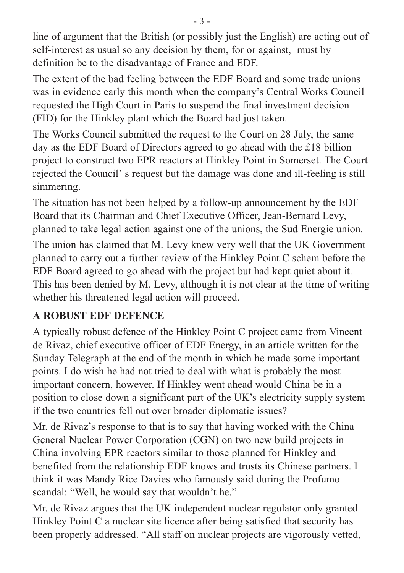line of argument that the British (or possibly just the English) are acting out of self-interest as usual so any decision by them, for or against, must by definition be to the disadvantage of France and EDF.

The extent of the bad feeling between the EDF Board and some trade unions was in evidence early this month when the company's Central Works Council requested the High Court in Paris to suspend the final investment decision (FID) for the Hinkley plant which the Board had just taken.

The Works Council submitted the request to the Court on 28 July, the same day as the EDF Board of Directors agreed to go ahead with the £18 billion project to construct two EPR reactors at Hinkley Point in Somerset. The Court rejected the Council' s request but the damage was done and ill-feeling is still simmering.

The situation has not been helped by a follow-up announcement by the EDF Board that its Chairman and Chief Executive Officer, Jean-Bernard Levy, planned to take legal action against one of the unions, the Sud Energie union.

The union has claimed that M. Levy knew very well that the UK Government planned to carry out a further review of the Hinkley Point C schem before the EDF Board agreed to go ahead with the project but had kept quiet about it. This has been denied by M. Levy, although it is not clear at the time of writing whether his threatened legal action will proceed.

#### **A ROBUST EDF DEFENCE**

A typically robust defence of the Hinkley Point C project came from Vincent de Rivaz, chief executive officer of EDF Energy, in an article written for the Sunday Telegraph at the end of the month in which he made some important points. I do wish he had not tried to deal with what is probably the most important concern, however. If Hinkley went ahead would China be in a position to close down a significant part of the UK's electricity supply system if the two countries fell out over broader diplomatic issues?

Mr. de Rivaz's response to that is to say that having worked with the China General Nuclear Power Corporation (CGN) on two new build projects in China involving EPR reactors similar to those planned for Hinkley and benefited from the relationship EDF knows and trusts its Chinese partners. I think it was Mandy Rice Davies who famously said during the Profumo scandal: "Well, he would say that wouldn't he."

Mr. de Rivaz argues that the UK independent nuclear regulator only granted Hinkley Point C a nuclear site licence after being satisfied that security has been properly addressed. "All staff on nuclear projects are vigorously vetted,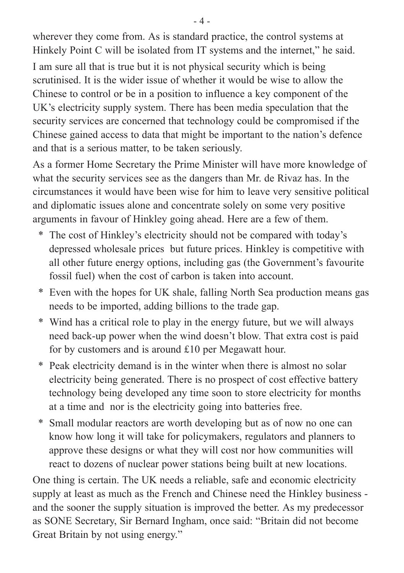wherever they come from. As is standard practice, the control systems at Hinkely Point C will be isolated from IT systems and the internet," he said.

I am sure all that is true but it is not physical security which is being scrutinised. It is the wider issue of whether it would be wise to allow the Chinese to control or be in a position to influence a key component of the UK's electricity supply system. There has been media speculation that the security services are concerned that technology could be compromised if the Chinese gained access to data that might be important to the nation's defence and that is a serious matter, to be taken seriously.

As a former Home Secretary the Prime Minister will have more knowledge of what the security services see as the dangers than Mr. de Rivaz has. In the circumstances it would have been wise for him to leave very sensitive political and diplomatic issues alone and concentrate solely on some very positive arguments in favour of Hinkley going ahead. Here are a few of them.

- \* The cost of Hinkley's electricity should not be compared with today's depressed wholesale prices but future prices. Hinkley is competitive with all other future energy options, including gas (the Government's favourite fossil fuel) when the cost of carbon is taken into account.
- \* Even with the hopes for UK shale, falling North Sea production means gas needs to be imported, adding billions to the trade gap.
- \* Wind has a critical role to play in the energy future, but we will always need back-up power when the wind doesn't blow. That extra cost is paid for by customers and is around £10 per Megawatt hour.
- \* Peak electricity demand is in the winter when there is almost no solar electricity being generated. There is no prospect of cost effective battery technology being developed any time soon to store electricity for months at a time and nor is the electricity going into batteries free.
- \* Small modular reactors are worth developing but as of now no one can know how long it will take for policymakers, regulators and planners to approve these designs or what they will cost nor how communities will react to dozens of nuclear power stations being built at new locations.

One thing is certain. The UK needs a reliable, safe and economic electricity supply at least as much as the French and Chinese need the Hinkley business and the sooner the supply situation is improved the better. As my predecessor as SONE Secretary, Sir Bernard Ingham, once said: "Britain did not become Great Britain by not using energy."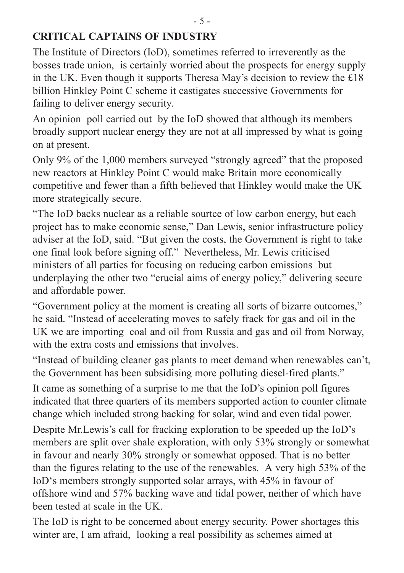#### **CRITICAL CAPTAINS OF INDUSTRY**

The Institute of Directors (IoD), sometimes referred to irreverently as the bosses trade union, is certainly worried about the prospects for energy supply in the UK. Even though it supports Theresa May's decision to review the £18 billion Hinkley Point C scheme it castigates successive Governments for failing to deliver energy security.

An opinion poll carried out by the IoD showed that although its members broadly support nuclear energy they are not at all impressed by what is going on at present.

Only 9% of the 1,000 members surveyed "strongly agreed" that the proposed new reactors at Hinkley Point C would make Britain more economically competitive and fewer than a fifth believed that Hinkley would make the UK more strategically secure.

"The IoD backs nuclear as a reliable sourtce of low carbon energy, but each project has to make economic sense," Dan Lewis, senior infrastructure policy adviser at the IoD, said. "But given the costs, the Government is right to take one final look before signing off." Nevertheless, Mr. Lewis criticised ministers of all parties for focusing on reducing carbon emissions but underplaying the other two "crucial aims of energy policy," delivering secure and affordable power.

"Government policy at the moment is creating all sorts of bizarre outcomes," he said. "Instead of accelerating moves to safely frack for gas and oil in the UK we are importing coal and oil from Russia and gas and oil from Norway, with the extra costs and emissions that involves.

"Instead of building cleaner gas plants to meet demand when renewables can't, the Government has been subsidising more polluting diesel-fired plants."

It came as something of a surprise to me that the IoD's opinion poll figures indicated that three quarters of its members supported action to counter climate change which included strong backing for solar, wind and even tidal power.

Despite Mr.Lewis's call for fracking exploration to be speeded up the IoD's members are split over shale exploration, with only 53% strongly or somewhat in favour and nearly 30% strongly or somewhat opposed. That is no better than the figures relating to the use of the renewables. A very high 53% of the IoD's members strongly supported solar arrays, with 45% in favour of offshore wind and 57% backing wave and tidal power, neither of which have been tested at scale in the UK.

The IoD is right to be concerned about energy security. Power shortages this winter are, I am afraid, looking a real possibility as schemes aimed at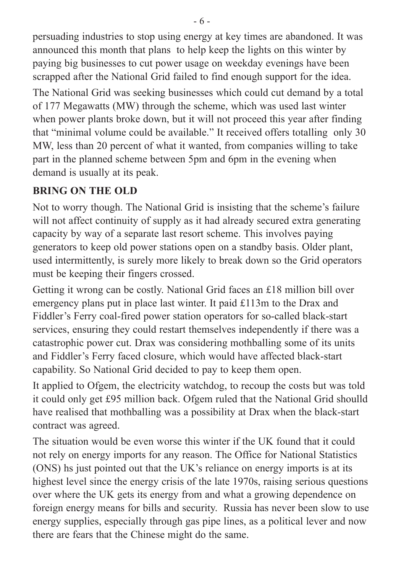persuading industries to stop using energy at key times are abandoned. It was announced this month that plans to help keep the lights on this winter by paying big businesses to cut power usage on weekday evenings have been scrapped after the National Grid failed to find enough support for the idea.

The National Grid was seeking businesses which could cut demand by a total of 177 Megawatts (MW) through the scheme, which was used last winter when power plants broke down, but it will not proceed this year after finding that "minimal volume could be available." It received offers totalling only 30 MW, less than 20 percent of what it wanted, from companies willing to take part in the planned scheme between 5pm and 6pm in the evening when demand is usually at its peak.

#### **BRING ON THE OLD**

Not to worry though. The National Grid is insisting that the scheme's failure will not affect continuity of supply as it had already secured extra generating capacity by way of a separate last resort scheme. This involves paying generators to keep old power stations open on a standby basis. Older plant, used intermittently, is surely more likely to break down so the Grid operators must be keeping their fingers crossed.

Getting it wrong can be costly. National Grid faces an £18 million bill over emergency plans put in place last winter. It paid £113m to the Drax and Fiddler's Ferry coal-fired power station operators for so-called black-start services, ensuring they could restart themselves independently if there was a catastrophic power cut. Drax was considering mothballing some of its units and Fiddler's Ferry faced closure, which would have affected black-start capability. So National Grid decided to pay to keep them open.

It applied to Ofgem, the electricity watchdog, to recoup the costs but was told it could only get £95 million back. Ofgem ruled that the National Grid shoulld have realised that mothballing was a possibility at Drax when the black-start contract was agreed.

The situation would be even worse this winter if the UK found that it could not rely on energy imports for any reason. The Office for National Statistics (ONS) hs just pointed out that the UK's reliance on energy imports is at its highest level since the energy crisis of the late 1970s, raising serious questions over where the UK gets its energy from and what a growing dependence on foreign energy means for bills and security. Russia has never been slow to use energy supplies, especially through gas pipe lines, as a political lever and now there are fears that the Chinese might do the same.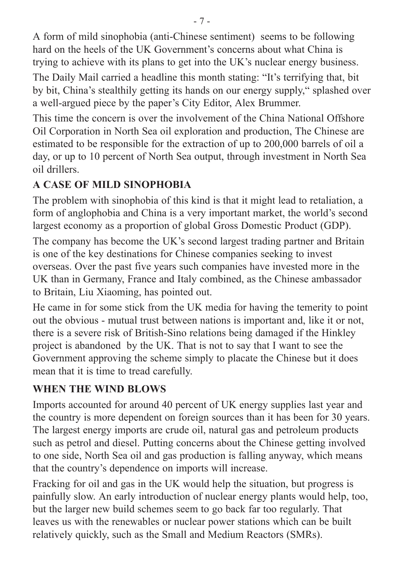A form of mild sinophobia (anti-Chinese sentiment) seems to be following hard on the heels of the UK Government's concerns about what China is trying to achieve with its plans to get into the UK's nuclear energy business.

The Daily Mail carried a headline this month stating: "It's terrifying that, bit by bit, China's stealthily getting its hands on our energy supply," splashed over a well-argued piece by the paper's City Editor, Alex Brummer.

This time the concern is over the involvement of the China National Offshore Oil Corporation in North Sea oil exploration and production, The Chinese are estimated to be responsible for the extraction of up to 200,000 barrels of oil a day, or up to 10 percent of North Sea output, through investment in North Sea oil drillers.

#### **A CASE OF MILD SINOPHOBIA**

The problem with sinophobia of this kind is that it might lead to retaliation, a form of anglophobia and China is a very important market, the world's second largest economy as a proportion of global Gross Domestic Product (GDP).

The company has become the UK's second largest trading partner and Britain is one of the key destinations for Chinese companies seeking to invest overseas. Over the past five years such companies have invested more in the UK than in Germany, France and Italy combined, as the Chinese ambassador to Britain, Liu Xiaoming, has pointed out.

He came in for some stick from the UK media for having the temerity to point out the obvious - mutual trust between nations is important and, like it or not, there is a severe risk of British-Sino relations being damaged if the Hinkley project is abandoned by the UK. That is not to say that I want to see the Government approving the scheme simply to placate the Chinese but it does mean that it is time to tread carefully.

### **WHEN THE WIND BLOWS**

Imports accounted for around 40 percent of UK energy supplies last year and the country is more dependent on foreign sources than it has been for 30 years. The largest energy imports are crude oil, natural gas and petroleum products such as petrol and diesel. Putting concerns about the Chinese getting involved to one side, North Sea oil and gas production is falling anyway, which means that the country's dependence on imports will increase.

Fracking for oil and gas in the UK would help the situation, but progress is painfully slow. An early introduction of nuclear energy plants would help, too, but the larger new build schemes seem to go back far too regularly. That leaves us with the renewables or nuclear power stations which can be built relatively quickly, such as the Small and Medium Reactors (SMRs).